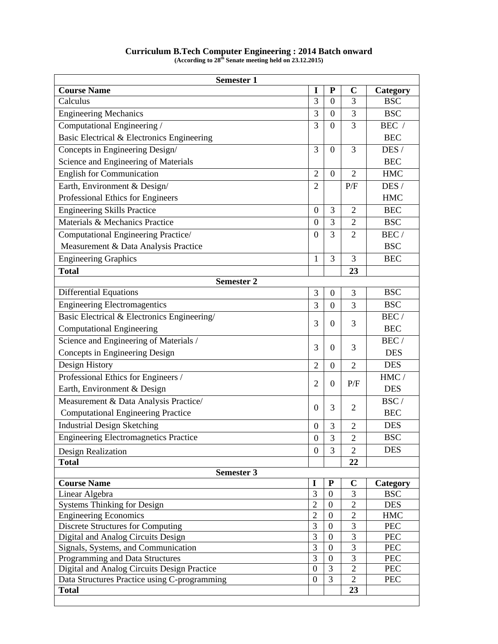| <b>Semester 1</b>                            |                  |                  |                |                 |  |  |
|----------------------------------------------|------------------|------------------|----------------|-----------------|--|--|
| <b>Course Name</b>                           | I                | ${\bf P}$        | $\mathbf C$    | Category        |  |  |
| Calculus                                     | 3                | $\overline{0}$   | $\overline{3}$ | <b>BSC</b>      |  |  |
| <b>Engineering Mechanics</b>                 | 3                | $\overline{0}$   | 3              | <b>BSC</b>      |  |  |
| Computational Engineering /                  | 3                | $\overline{0}$   | 3              | BEC $\,$ / $\,$ |  |  |
| Basic Electrical & Electronics Engineering   |                  |                  |                | <b>BEC</b>      |  |  |
| Concepts in Engineering Design/              | 3                | $\theta$         | 3              | DES /           |  |  |
| Science and Engineering of Materials         |                  |                  |                | <b>BEC</b>      |  |  |
| <b>English for Communication</b>             | $\overline{2}$   | $\overline{0}$   | $\overline{2}$ | <b>HMC</b>      |  |  |
| Earth, Environment & Design/                 | $\overline{2}$   |                  | P/F            | DES /           |  |  |
| Professional Ethics for Engineers            |                  |                  |                | <b>HMC</b>      |  |  |
| <b>Engineering Skills Practice</b>           | $\overline{0}$   | 3                | $\overline{2}$ | <b>BEC</b>      |  |  |
| Materials & Mechanics Practice               | $\overline{0}$   | 3                | $\overline{2}$ | <b>BSC</b>      |  |  |
| Computational Engineering Practice/          | $\theta$         | 3                | $\overline{2}$ | BEC/            |  |  |
| Measurement & Data Analysis Practice         |                  |                  |                | <b>BSC</b>      |  |  |
| <b>Engineering Graphics</b>                  | 1                | 3                | 3              | <b>BEC</b>      |  |  |
| <b>Total</b>                                 |                  |                  | 23             |                 |  |  |
| <b>Semester 2</b>                            |                  |                  |                |                 |  |  |
| <b>Differential Equations</b>                | 3                | $\boldsymbol{0}$ | 3              | <b>BSC</b>      |  |  |
| <b>Engineering Electromagentics</b>          | 3                | $\boldsymbol{0}$ | 3              | <b>BSC</b>      |  |  |
| Basic Electrical & Electronics Engineering/  |                  |                  |                | BEC/            |  |  |
| <b>Computational Engineering</b>             | 3                | $\boldsymbol{0}$ | 3              | <b>BEC</b>      |  |  |
| Science and Engineering of Materials /       |                  |                  |                | BEC/            |  |  |
| Concepts in Engineering Design               | 3                | $\Omega$         | 3              | <b>DES</b>      |  |  |
| Design History                               | $\overline{2}$   | $\Omega$         | $\overline{2}$ | <b>DES</b>      |  |  |
| Professional Ethics for Engineers /          |                  |                  |                | HMC/            |  |  |
| Earth, Environment & Design                  | $\overline{2}$   | $\boldsymbol{0}$ | P/F            | <b>DES</b>      |  |  |
| Measurement & Data Analysis Practice/        |                  |                  |                | BSC/            |  |  |
| <b>Computational Engineering Practice</b>    | $\theta$         | 3                | $\mathfrak{2}$ | <b>BEC</b>      |  |  |
| <b>Industrial Design Sketching</b>           | $\boldsymbol{0}$ | 3                | $\overline{2}$ | <b>DES</b>      |  |  |
| <b>Engineering Electromagnetics Practice</b> | $\boldsymbol{0}$ | 3                | $\overline{c}$ | <b>BSC</b>      |  |  |
| Design Realization                           | $\theta$         | 3                | $\overline{2}$ | <b>DES</b>      |  |  |
| <b>Total</b>                                 |                  |                  | 22             |                 |  |  |
| <b>Semester 3</b>                            |                  |                  |                |                 |  |  |
| <b>Course Name</b>                           | I                | ${\bf P}$        | $\mathbf C$    | Category        |  |  |
| Linear Algebra                               | 3                | $\boldsymbol{0}$ | 3              | <b>BSC</b>      |  |  |
| Systems Thinking for Design                  | $\overline{2}$   | $\overline{0}$   | $\overline{2}$ | <b>DES</b>      |  |  |
| <b>Engineering Economics</b>                 | $\overline{2}$   | $\overline{0}$   | $\overline{2}$ | <b>HMC</b>      |  |  |
| <b>Discrete Structures for Computing</b>     | 3                | $\theta$         | 3              | <b>PEC</b>      |  |  |
| Digital and Analog Circuits Design           | 3                | $\overline{0}$   | $\overline{3}$ | <b>PEC</b>      |  |  |
| Signals, Systems, and Communication          | 3                | $\mathbf{0}$     | $\overline{3}$ | <b>PEC</b>      |  |  |
| Programming and Data Structures              | 3                | $\theta$         | 3              | <b>PEC</b>      |  |  |
| Digital and Analog Circuits Design Practice  | $\boldsymbol{0}$ | 3                | $\overline{2}$ | <b>PEC</b>      |  |  |
| Data Structures Practice using C-programming | $\mathbf{0}$     | 3                | $\overline{2}$ | <b>PEC</b>      |  |  |
| <b>Total</b>                                 |                  |                  | 23             |                 |  |  |
|                                              |                  |                  |                |                 |  |  |

## **Curriculum B.Tech Computer Engineering : 2014 Batch onward (According to 28th Senate meeting held on 23.12.2015)**